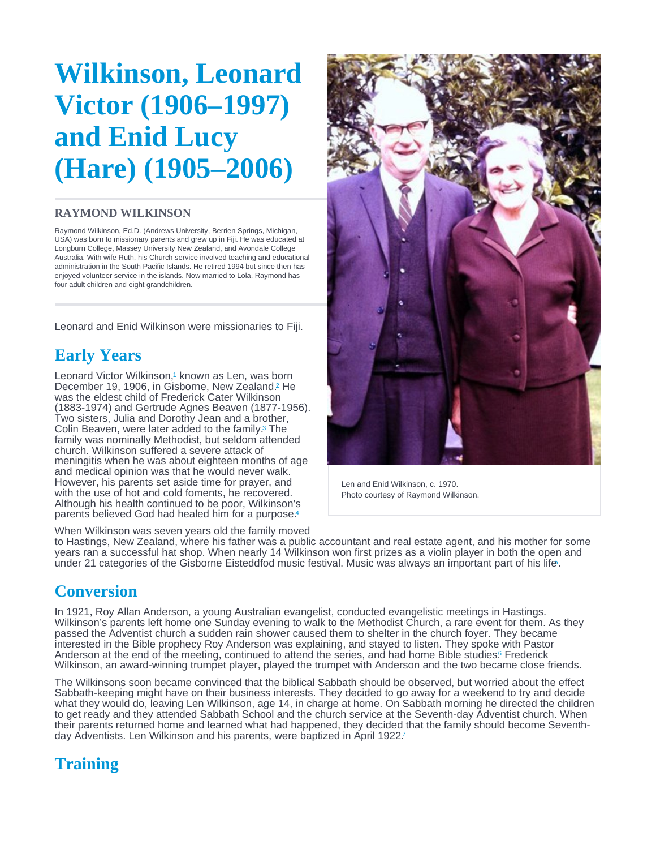# <span id="page-0-0"></span>Wilkinson, Leonard Victor (1906–1997) and Enid Lucy (Hare) (1905–2006)

#### RAYMOND WILKINSON

Raymond Wilkinson, Ed.D. (Andrews University, Berrien Springs, Michigan, USA) was born to missionary parents and grew up in Fiji. He was educated at Longburn College, Massey University New Zealand, and Avondale College Australia. With wife Ruth, his Church service involved teaching and educational administration in the South Pacific Islands. He retired 1994 but since then has enjoyed volunteer service in the islands. Now married to Lola, Raymond has four adult children and eight grandchildren.

Leonard and Enid Wilkinson were missionaries to Fiji.

# Early Years

Leonard Victor Wilkinson,<sup>1</sup> known as Len[,](#page-3-0) was born December 19, 1906, in Gisborne, New Zealand.<sup>2</sup> He was the eldest child of Frederick Cater Wilkinson (1883-1974) and Gertrude Agnes Beaven (1877-1956). Two sisters, Julia and Dorothy Jean and a brother, Colin Beaven, were later added to the family[.](#page-3-0)<sup>3</sup> The family was nominally Methodist, but seldom attended church. Wilkinson suffered a severe attack of meningitis when he was about eighteen months of age and medical opinion was that he would never walk. However, his parents set aside time for prayer, and with the use of hot and cold foments, he recovered. Although his health continued to be poor, Wilkinson's parents believed God had healed him for a purpose. [4](#page-3-0)

When Wilkinson was seven years old the family moved

Len and Enid Wilkinson, c. 1970. Photo courtesy of Raymond Wilkinson.

to Hastings, New Zealand, where his father was a public accountant and real estate agent, and his mother for some years ran a successful hat shop. When nearly 14 Wilkinson won first prizes as a violin player in both the open and under 21 categories of the Gisborne Eisteddfod music festival. Music was always an important part of his lif[e.](#page-3-0) 5

### Conversion

In 1921, Roy Allan Anderson, a young Australian evangelist, conducted evangelistic meetings in Hastings. Wilkinson's parents left home one Sunday evening to walk to the Methodist Church, a rare event for them. As they passed the Adventist church a sudden rain shower caused them to shelter in the church foyer. They became interested in the Bible prophecy Roy Anderson was explaining, and stayed to listen. They spoke with Pastor Anderson at the end of the meeting, continued to attend the series, and had home Bible studies[.](#page-3-0) Frederick Wilkinson, an award-winning trumpet player, played the trumpet with Anderson and the two became close friends.

The Wilkinsons soon became convinced that the biblical Sabbath should be observed, but worried about the effect Sabbath-keeping might have on their business interests. They decided to go away for a weekend to try and decide what they would do, leaving Len Wilkinson, age 14, in charge at home. On Sabbath morning he directed the children to get ready and they attended Sabbath School and the church service at the Seventh-day Adventist church. When their parents returned home and learned what had happened, they decided that the family should become Seventhday Adventists. Len Wilkinson and his parents, were baptized in April 1922.[7](#page-3-0)

# **Training**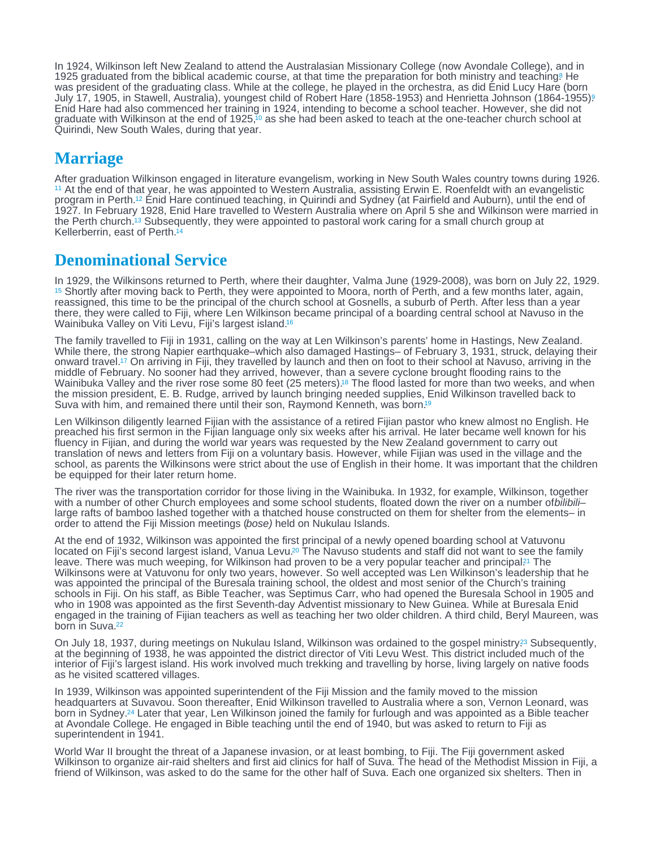<span id="page-1-0"></span>In 1924, Wilkinson left New Zealand to attend the Australasian Missionary College (now Avondale College), and in 1925 graduated from the biblical academic course, at that time the preparation for both ministry and teaching[.](#page-3-0) He was president of the graduating class. While at the college, he played in the orchestra, as did Enid Lucy Hare (born July 17, 1905, in Stawell, Australia), youngest child of Robert Hare (1858-1953) and Henrietta Johnson (1864-1955). [9](#page-3-0) Enid Hare had also commenced her training in 1924, intending to become a school teacher. However, she did not graduate with Wilkinson at the end of 1925,<sup>10</sup> as she had been asked to teach at the one-teacher church school at Quirindi, New South Wales, during that year. 10

### **Marriage**

After graduation Wilkinson engaged in literature evangelism, working in New South Wales country towns during 1926. At the end of that year, he was appointed to Western Australia, assisting Erwin E. Roenfeldt with an evangelistic [11](#page-3-0) program in Perth[.](#page-3-0)<sup>12</sup> Enid Hare continued teaching, in Quirindi and Sydney (at Fairfield and Auburn), until the end of 1927. In February 1928, Enid Hare travelled to Western Australia where on April 5 she and Wilkinson were married in the Perth church.<sup>13</sup> Subsequently, they were appointed to pastoral work caring for a small church group at Kellerberrin, east of Perth. [14](#page-3-0)

#### Denominational Service

In 1929, the Wilkinsons returned to Perth, where their daughter, Valma June (1929-2008), was born on July 22, 1929. <sup>[15](#page-3-0)</sup> Shortly after moving back to Perth, they were appointed to Moora, north of Perth, and a few months later, again, reassigned, this time to be the principal of the church school at Gosnells, a suburb of Perth. After less than a year there, they were called to Fiji, where Len Wilkinson became principal of a boarding central school at Navuso in the Wainibuka Valley on Viti Levu, Fiji's largest island.<sup>[16](#page-3-0)</sup>

The family travelled to Fiji in 1931, calling on the way at Len Wilkinson's parents' home in Hastings, New Zealand. While there, the strong Napier earthquake–which also damaged Hastings– of February 3, 1931, struck, delaying their onward travel.<sup>17</sup> On arriving in Fiji, they travelled by launch and then on foot to their school at Navuso, arriving in the middle of February. No sooner had they arrived, however, than a severe cyclone brought flooding rains to the Wainibuka Valley and the river rose some 80 feet (25 meters)[.](#page-3-0)<sup>18</sup> The flood lasted for more than two weeks, and when the mission president, E. B. Rudge, arrived by launch bringing needed supplies, Enid Wilkinson travelled back to Suva with him, and remained there until their son, Raymond Kenneth, was born.<sup>[19](#page-3-0)</sup>

Len Wilkinson diligently learned Fijian with the assistance of a retired Fijian pastor who knew almost no English. He preached his first sermon in the Fijian language only six weeks after his arrival. He later became well known for his fluency in Fijian, and during the world war years was requested by the New Zealand government to carry out translation of news and letters from Fiji on a voluntary basis. However, while Fijian was used in the village and the school, as parents the Wilkinsons were strict about the use of English in their home. It was important that the children be equipped for their later return home.

The river was the transportation corridor for those living in the Wainibuka. In 1932, for example, Wilkinson, together with a number of other Church employees and some school students, floated down the river on a number of bilibililarge rafts of bamboo lashed together with a thatched house constructed on them for shelter from the elements– in order to attend the Fiji Mission meetings (bose) held on Nukulau Islands.

At the end of 1932, Wilkinson was appointed the first principal of a newly opened boarding school at Vatuvonu located on Fiji's second largest island, Vanua Levu[.](#page-3-0)<sup>20</sup> The Navuso students and staff did not want to see the family leave[.](#page-3-0) There was much weeping, for Wilkinson had proven to be a very popular teacher and principal?<sup>1</sup> The Wilkinsons were at Vatuvonu for only two years, however. So well accepted was Len Wilkinson's leadership that he was appointed the principal of the Buresala training school, the oldest and most senior of the Church's training schools in Fiji. On his staff, as Bible Teacher, was Septimus Carr, who had opened the Buresala School in 1905 and who in 1908 was appointed as the first Seventh-day Adventist missionary to New Guinea. While at Buresala Enid engaged in the training of Fijian teachers as well as teaching her two older children. A third child, Beryl Maureen, was born in Suva.<sup>[22](#page-3-0)</sup>

On July 18, 1937, during meetings on Nukulau Island, Wilkinson was ordained to the gospel ministry<sup>23</sup> Subsequently, at the beginning of 1938, he was appointed the district director of Viti Levu West. This district included much of the interior of Fiji's largest island. His work involved much trekking and travelling by horse, living largely on native foods as he visited scattered villages.

In 1939, Wilkinson was appointed superintendent of the Fiji Mission and the family moved to the mission headquarters at Suvavou. Soon thereafter, Enid Wilkinson travelled to Australia where a son, Vernon Leonard, was born in Sydney[.](#page-3-0)<sup>24</sup> Later that year, Len Wilkinson joined the family for furlough and was appointed as a Bible teacher at Avondale College. He engaged in Bible teaching until the end of 1940, but was asked to return to Fiji as superintendent in 1941.

World War II brought the threat of a Japanese invasion, or at least bombing, to Fiji. The Fiji government asked Wilkinson to organize air-raid shelters and first aid clinics for half of Suva. The head of the Methodist Mission in Fiji, a friend of Wilkinson, was asked to do the same for the other half of Suva. Each one organized six shelters. Then in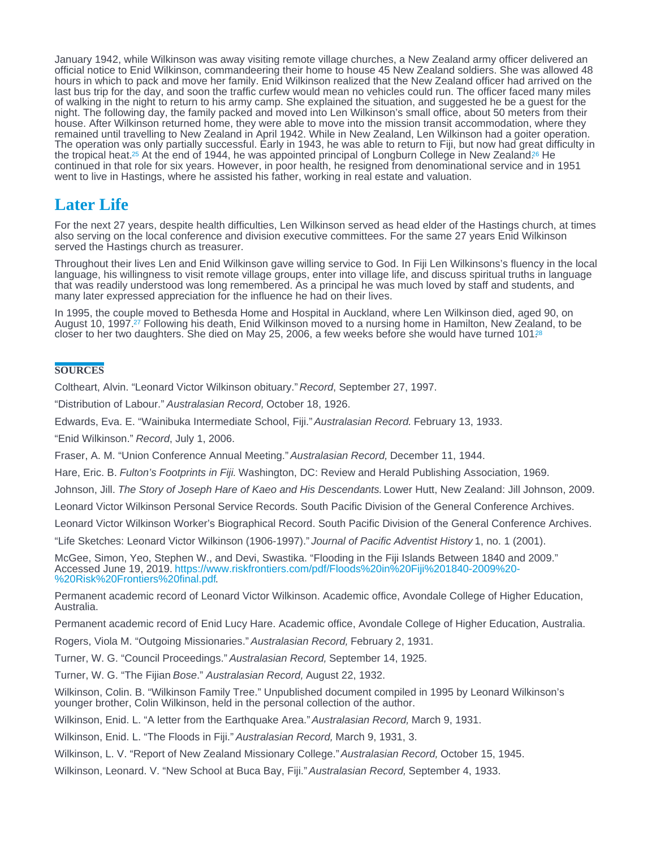<span id="page-2-0"></span>January 1942, while Wilkinson was away visiting remote village churches, a New Zealand army officer delivered an official notice to Enid Wilkinson, commandeering their home to house 45 New Zealand soldiers. She was allowed 48 hours in which to pack and move her family. Enid Wilkinson realized that the New Zealand officer had arrived on the last bus trip for the day, and soon the traffic curfew would mean no vehicles could run. The officer faced many miles of walking in the night to return to his army camp. She explained the situation, and suggested he be a guest for the night. The following day, the family packed and moved into Len Wilkinson's small office, about 50 meters from their house. After Wilkinson returned home, they were able to move into the mission transit accommodation, where they remained until travelling to New Zealand in April 1942. While in New Zealand, Len Wilkinson had a goiter operation. The operation was only partially successful. Early in 1943, he was able to return to Fiji, but now had great difficulty in the tropical heat[.](#page-3-0)<sup>25</sup> At the end of 1944, he was appointed principal of Longburn College in New Zealand.<sup>26</sup> He continued in that role for six years. However, in poor health, he resigned from denominational service and in 1951 went to live in Hastings, where he assisted his father, working in real estate and valuation.

### Later Life

For the next 27 years, despite health difficulties, Len Wilkinson served as head elder of the Hastings church, at times also serving on the local conference and division executive committees. For the same 27 years Enid Wilkinson served the Hastings church as treasurer.

Throughout their lives Len and Enid Wilkinson gave willing service to God. In Fiji Len Wilkinsons's fluency in the local language, his willingness to visit remote village groups, enter into village life, and discuss spiritual truths in language that was readily understood was long remembered. As a principal he was much loved by staff and students, and many later expressed appreciation for the influence he had on their lives.

In 1995, the couple moved to Bethesda Home and Hospital in Auckland, where Len Wilkinson died, aged 90, on August 10, 1997[.](#page-3-0)<sup>27</sup> Following his death, Enid Wilkinson moved to a nursing home in Hamilton, New Zealand, to be closer to her two daughters. She died on May 25, 2006, a few weeks before she would have turned 101?<sup>8</sup>

#### **SOURCES**

Coltheart, Alvin. "Leonard Victor Wilkinson obituary." Record, September 27, 1997.

"Distribution of Labour." Australasian Record, October 18, 1926.

Edwards, Eva. E. "Wainibuka Intermediate School, Fiji." Australasian Record. February 13, 1933.

"Enid Wilkinson." Record, July 1, 2006.

Fraser, A. M. "Union Conference Annual Meeting." Australasian Record, December 11, 1944.

Hare, Eric. B. Fulton's Footprints in Fiji. Washington, DC: Review and Herald Publishing Association, 1969.

Johnson, Jill. The Story of Joseph Hare of Kaeo and His Descendants. Lower Hutt, New Zealand: Jill Johnson, 2009.

Leonard Victor Wilkinson Personal Service Records. South Pacific Division of the General Conference Archives.

Leonard Victor Wilkinson Worker's Biographical Record. South Pacific Division of the General Conference Archives.

"Life Sketches: Leonard Victor Wilkinson (1906-1997)." Journal of Pacific Adventist History 1, no. 1 (2001).

McGee, Simon, Yeo, Stephen W., and Devi, Swastika. "Flooding in the Fiji Islands Between 1840 and 2009." Accessed June 19, 2019. [https://www.riskfrontiers.com/pdf/Floods%20in%20Fiji%201840-2009%20-](https://www.riskfrontiers.com/pdf/Floods in Fiji 1840-2009 - Risk Frontiers final.pdf) . [%20Risk%20Frontiers%20final.pdf](https://www.riskfrontiers.com/pdf/Floods in Fiji 1840-2009 - Risk Frontiers final.pdf)

Permanent academic record of Leonard Victor Wilkinson. Academic office, Avondale College of Higher Education, Australia.

Permanent academic record of Enid Lucy Hare. Academic office, Avondale College of Higher Education, Australia.

Rogers, Viola M. "Outgoing Missionaries." Australasian Record, February 2, 1931.

Turner, W. G. "Council Proceedings." Australasian Record, September 14, 1925.

Turner, W. G. "The Fijian Bose." Australasian Record, August 22, 1932.

Wilkinson, Colin. B. "Wilkinson Family Tree." Unpublished document compiled in 1995 by Leonard Wilkinson's younger brother, Colin Wilkinson, held in the personal collection of the author.

Wilkinson, Enid. L. "A letter from the Earthquake Area." Australasian Record, March 9, 1931.

Wilkinson, Enid. L. "The Floods in Fiji." Australasian Record, March 9, 1931, 3.

Wilkinson, L. V. "Report of New Zealand Missionary College." Australasian Record, October 15, 1945.

Wilkinson, Leonard. V. "New School at Buca Bay, Fiji." Australasian Record, September 4, 1933.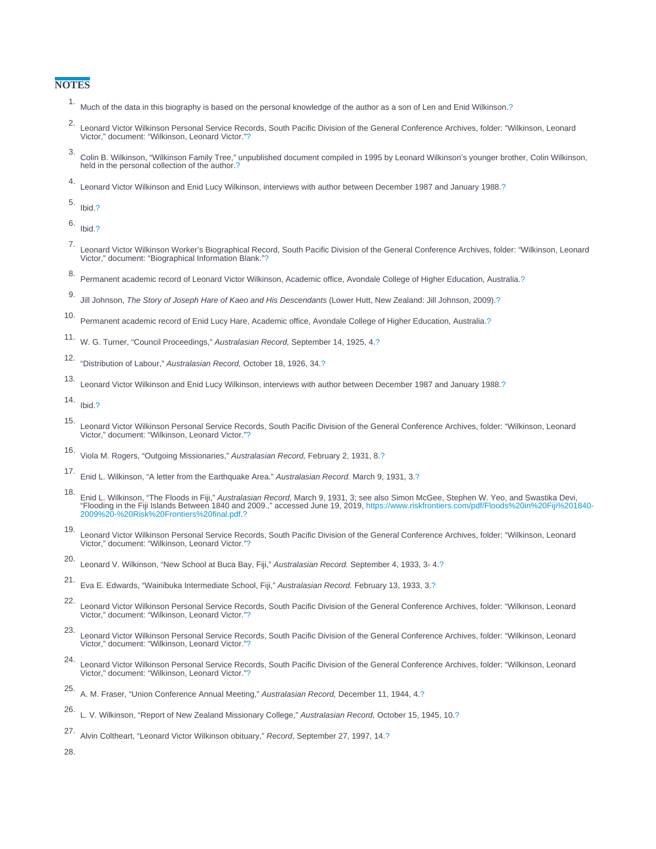#### <span id="page-3-0"></span>**NOTES**

- 1. Much of the data in this biography is based on the personal knowledge of the author as a son of Len and Enid Wilkinson.[?](#page-0-0)
- 2. Leonard Victor Wilkinson Personal Service Records, South Pacific Division of the General Conference Archives, folder: "Wilkinson, Leonard Victor," document: "Wilkinson, Leonard Victor.["?](#page-0-0)
- 3. Colin B. Wilkinson, "Wilkinson Family Tree," unpublished document compiled in 1995 by Leonard Wilkinson's younger brother, Colin Wilkinson, held in the personal collection of the author[.?](#page-0-0)
- 4. Leonard Victor Wilkinson and Enid Lucy Wilkinson, interviews with author between December 1987 and January 1988[.?](#page-0-0)

5. Ibid[.?](#page-0-0)

6. Ibid[.?](#page-0-0)

- 7. Leonard Victor Wilkinson Worker's Biographical Record, South Pacific Division of the General Conference Archives, folder: "Wilkinson, Leonard Victor," document: "Biographical Information Blank."[?](#page-0-0)
- 8. Permanent academic record of Leonard Victor Wilkinson, Academic office, Avondale College of Higher Education, Australia[.?](#page-1-0)
- 9. Jill Johnson, The Story of Joseph Hare of Kaeo and His Descendants (Lower Hutt, New Zealand: Jill Johnson, 2009)[.?](#page-1-0)
- 10. Permanent academic record of Enid Lucy Hare, Academic office, Avondale College of Higher Education, Australia[.?](#page-1-0)
- 11. W. G. Turner, "Council Proceedings," Australasian Record, September 14, 1925, 4.[?](#page-1-0)
- 12. "Distribution of Labour," Australasian Record, October 18, 1926, 34.[?](#page-1-0)
- 13. Leonard Victor Wilkinson and Enid Lucy Wilkinson, interviews with author between December 1987 and January 1988[.?](#page-1-0)
- 14. Ibid[.?](#page-1-0)
- 15. Leonard Victor Wilkinson Personal Service Records, South Pacific Division of the General Conference Archives, folder: "Wilkinson, Leonard Victor," document: "Wilkinson, Leonard Victor.["?](#page-1-0)
- 16. Viola M. Rogers, "Outgoing Missionaries," Australasian Record, February 2, 1931, 8[.?](#page-1-0)
- 17. Enid L. Wilkinson, "A letter from the Earthquake Area." Australasian Record. March 9, 1931, 3.[?](#page-1-0)
- .<br>Enid L. Wilkinson, "The Floods in Fiji," Australasian Record, March 9, 1931, 3; see also Simon McGee, Stephen W. Yeo, and Swastika Devi,<br>Flooding in the Fiji Islands Between 1840 and 2009.," accessed June 19, 2019, https . [2009%20-%20Risk%20Frontiers%20final.pdf](https://www.riskfrontiers.com/pdf/Floods in Fiji 1840-2009 - Risk Frontiers final.pdf) [?](#page-1-0)
- 19. Leonard Victor Wilkinson Personal Service Records, South Pacific Division of the General Conference Archives, folder: "Wilkinson, Leonard Victor," document: "Wilkinson, Leonard Victor.["?](#page-1-0)
- 20. Leonard V. Wilkinson, "New School at Buca Bay, Fiji," Australasian Record. September 4, 1933, 3- 4[.?](#page-1-0)
- 21. Eva E. Edwards, "Wainibuka Intermediate School, Fiji," Australasian Record. February 13, 1933, 3.[?](#page-1-0)
- 22. Leonard Victor Wilkinson Personal Service Records, South Pacific Division of the General Conference Archives, folder: "Wilkinson, Leonard Victor," document: "Wilkinson, Leonard Victor.["?](#page-1-0)
- 23. Leonard Victor Wilkinson Personal Service Records, South Pacific Division of the General Conference Archives, folder: "Wilkinson, Leonard Victor," document: "Wilkinson, Leonard Victor.["?](#page-1-0)
- 24. Leonard Victor Wilkinson Personal Service Records, South Pacific Division of the General Conference Archives, folder: "Wilkinson, Leonard Victor," document: "Wilkinson, Leonard Victor.["?](#page-1-0)
- 25. A. M. Fraser, "Union Conference Annual Meeting," Australasian Record, December 11, 1944, 4[.?](#page-2-0)
- 26. L. V. Wilkinson, "Report of New Zealand Missionary College," Australasian Record, October 15, 1945, 10.[?](#page-2-0)

27. Alvin Coltheart, "Leonard Victor Wilkinson obituary," Record, September 27, 1997, 14.[?](#page-2-0)

28.